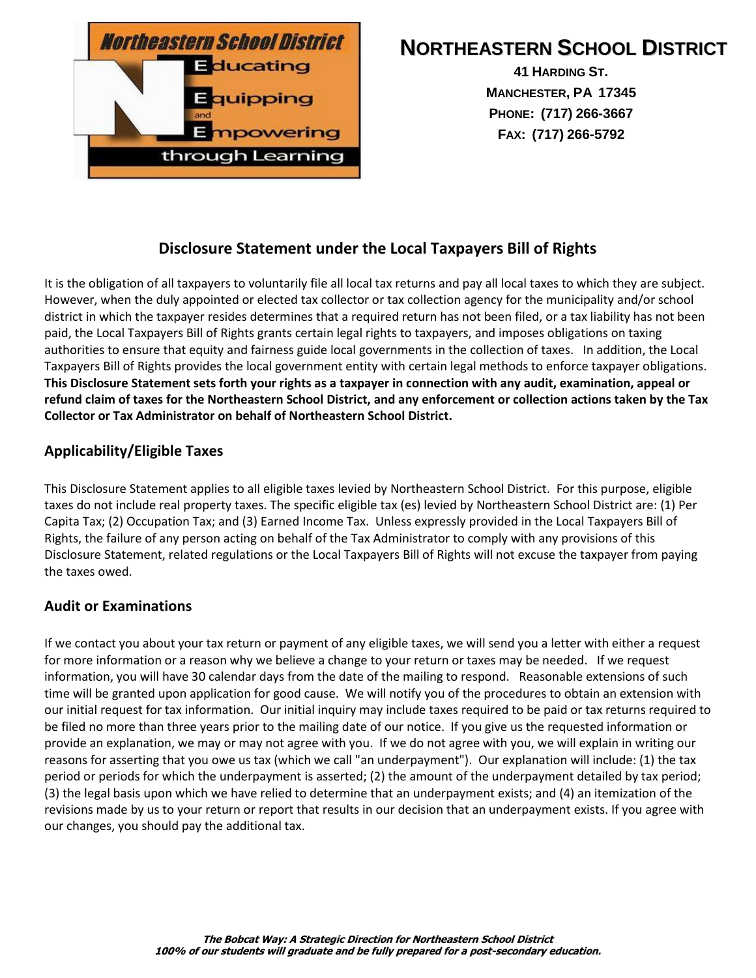

# **NORTHEASTERN SCHOOL DISTRICT**

**41 HARDING ST. MANCHESTER, PA 17345 PHONE: (717) 266-3667 FAX: (717) 266-5792**

## **Disclosure Statement under the Local Taxpayers Bill of Rights**

It is the obligation of all taxpayers to voluntarily file all local tax returns and pay all local taxes to which they are subject. However, when the duly appointed or elected tax collector or tax collection agency for the municipality and/or school district in which the taxpayer resides determines that a required return has not been filed, or a tax liability has not been paid, the Local Taxpayers Bill of Rights grants certain legal rights to taxpayers, and imposes obligations on taxing authorities to ensure that equity and fairness guide local governments in the collection of taxes. In addition, the Local Taxpayers Bill of Rights provides the local government entity with certain legal methods to enforce taxpayer obligations. **This Disclosure Statement sets forth your rights as a taxpayer in connection with any audit, examination, appeal or refund claim of taxes for the Northeastern School District, and any enforcement or collection actions taken by the Tax Collector or Tax Administrator on behalf of Northeastern School District.**

#### **Applicability/Eligible Taxes**

This Disclosure Statement applies to all eligible taxes levied by Northeastern School District. For this purpose, eligible taxes do not include real property taxes. The specific eligible tax (es) levied by Northeastern School District are: (1) Per Capita Tax; (2) Occupation Tax; and (3) Earned Income Tax. Unless expressly provided in the Local Taxpayers Bill of Rights, the failure of any person acting on behalf of the Tax Administrator to comply with any provisions of this Disclosure Statement, related regulations or the Local Taxpayers Bill of Rights will not excuse the taxpayer from paying the taxes owed.

#### **Audit or Examinations**

If we contact you about your tax return or payment of any eligible taxes, we will send you a letter with either a request for more information or a reason why we believe a change to your return or taxes may be needed. If we request information, you will have 30 calendar days from the date of the mailing to respond. Reasonable extensions of such time will be granted upon application for good cause. We will notify you of the procedures to obtain an extension with our initial request for tax information. Our initial inquiry may include taxes required to be paid or tax returns required to be filed no more than three years prior to the mailing date of our notice. If you give us the requested information or provide an explanation, we may or may not agree with you. If we do not agree with you, we will explain in writing our reasons for asserting that you owe us tax (which we call "an underpayment"). Our explanation will include: (1) the tax period or periods for which the underpayment is asserted; (2) the amount of the underpayment detailed by tax period; (3) the legal basis upon which we have relied to determine that an underpayment exists; and (4) an itemization of the revisions made by us to your return or report that results in our decision that an underpayment exists. If you agree with our changes, you should pay the additional tax.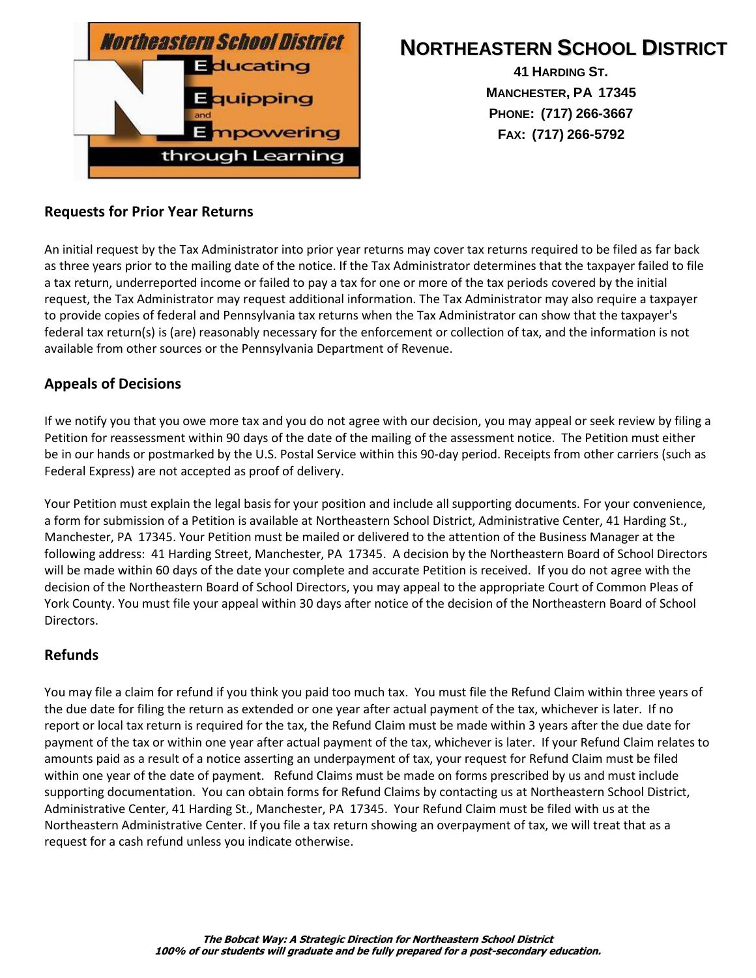

# **NORTHEASTERN SCHOOL DISTRICT**

**41 HARDING ST. MANCHESTER, PA 17345 PHONE: (717) 266-3667 FAX: (717) 266-5792**

#### **Requests for Prior Year Returns**

An initial request by the Tax Administrator into prior year returns may cover tax returns required to be filed as far back as three years prior to the mailing date of the notice. If the Tax Administrator determines that the taxpayer failed to file a tax return, underreported income or failed to pay a tax for one or more of the tax periods covered by the initial request, the Tax Administrator may request additional information. The Tax Administrator may also require a taxpayer to provide copies of federal and Pennsylvania tax returns when the Tax Administrator can show that the taxpayer's federal tax return(s) is (are) reasonably necessary for the enforcement or collection of tax, and the information is not available from other sources or the Pennsylvania Department of Revenue.

#### **Appeals of Decisions**

If we notify you that you owe more tax and you do not agree with our decision, you may appeal or seek review by filing a Petition for reassessment within 90 days of the date of the mailing of the assessment notice. The Petition must either be in our hands or postmarked by the U.S. Postal Service within this 90-day period. Receipts from other carriers (such as Federal Express) are not accepted as proof of delivery.

Your Petition must explain the legal basis for your position and include all supporting documents. For your convenience, a form for submission of a Petition is available at Northeastern School District, Administrative Center, 41 Harding St., Manchester, PA 17345. Your Petition must be mailed or delivered to the attention of the Business Manager at the following address: 41 Harding Street, Manchester, PA 17345.A decision by the Northeastern Board of School Directors will be made within 60 days of the date your complete and accurate Petition is received.If you do not agree with the decision of the Northeastern Board of School Directors, you may appeal to the appropriate Court of Common Pleas of York County. You must file your appeal within 30 days after notice of the decision of the Northeastern Board of School Directors.

#### **Refunds**

You may file a claim for refund if you think you paid too much tax. You must file the Refund Claim within three years of the due date for filing the return as extended or one year after actual payment of the tax, whichever is later. If no report or local tax return is required for the tax, the Refund Claim must be made within 3 years after the due date for payment of the tax or within one year after actual payment of the tax, whichever is later. If your Refund Claim relates to amounts paid as a result of a notice asserting an underpayment of tax, your request for Refund Claim must be filed within one year of the date of payment. Refund Claims must be made on forms prescribed by us and must include supporting documentation. You can obtain forms for Refund Claims by contacting us at Northeastern School District, Administrative Center, 41 Harding St., Manchester, PA 17345. Your Refund Claim must be filed with us at the Northeastern Administrative Center. If you file a tax return showing an overpayment of tax, we will treat that as a request for a cash refund unless you indicate otherwise.